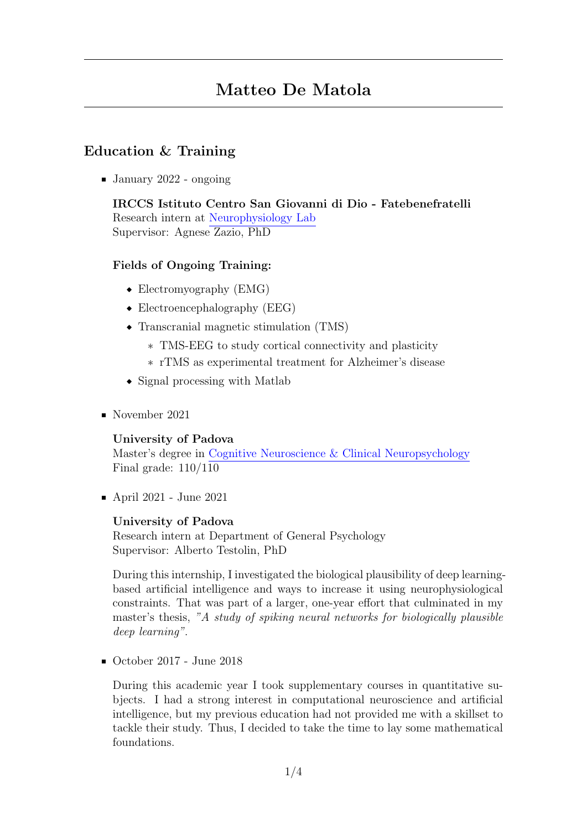# Education & Training

January 2022 - ongoing

IRCCS Istituto Centro San Giovanni di Dio - Fatebenefratelli Research intern at Neurophysiology Lab Supervisor: Agnese Zazio, PhD

### Fields of Ongoing Training:

- Electromyography (EMG)
- Electroencephalography (EEG)
- Transcranial magnetic stimulation (TMS)
	- \* TMS-EEG to study cortical connectivity and plasticity
	- \* rTMS as experimental treatment for Alzheimer's disease
- $\bullet$  Signal processing with Matlab
- November 2021

#### University of Padova

Master's degree in Cognitive Neuroscience & Clinical Neuropsychology Final grade: 110/110

April 2021 - June 2021

#### University of Padova

Research intern at Department of General Psychology Supervisor: Alberto Testolin, PhD

During this internship, I investigated the biological plausibility of deep learningbased artificial intelligence and ways to increase it using neurophysiological constraints. That was part of a larger, one-year effort that culminated in my master's thesis, "A study of spiking neural networks for biologically plausible deep learning".

October 2017 - June 2018

During this academic year I took supplementary courses in quantitative subjects. I had a strong interest in computational neuroscience and artificial intelligence, but my previous education had not provided me with a skillset to tackle their study. Thus, I decided to take the time to lay some mathematical foundations.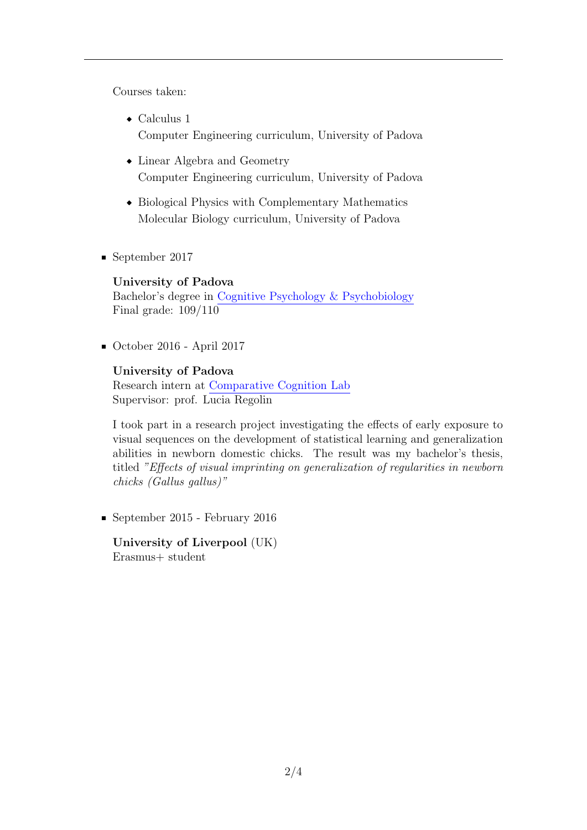Courses taken:

- $\bullet$  Calculus 1 Computer Engineering curriculum, University of Padova
- Linear Algebra and Geometry Computer Engineering curriculum, University of Padova
- Biological Physics with Complementary Mathematics Molecular Biology curriculum, University of Padova
- September 2017

#### University of Padova

Bachelor's degree in Cognitive Psychology & Psychobiology Final grade: 109/110

October 2016 - April 2017

#### University of Padova

Research intern at Comparative Cognition Lab Supervisor: prof. Lucia Regolin

I took part in a research project investigating the effects of early exposure to visual sequences on the development of statistical learning and generalization abilities in newborn domestic chicks. The result was my bachelor's thesis, titled "Effects of visual imprinting on generalization of regularities in newborn chicks (Gallus gallus)"

September 2015 - February 2016

University of Liverpool (UK) Erasmus+ student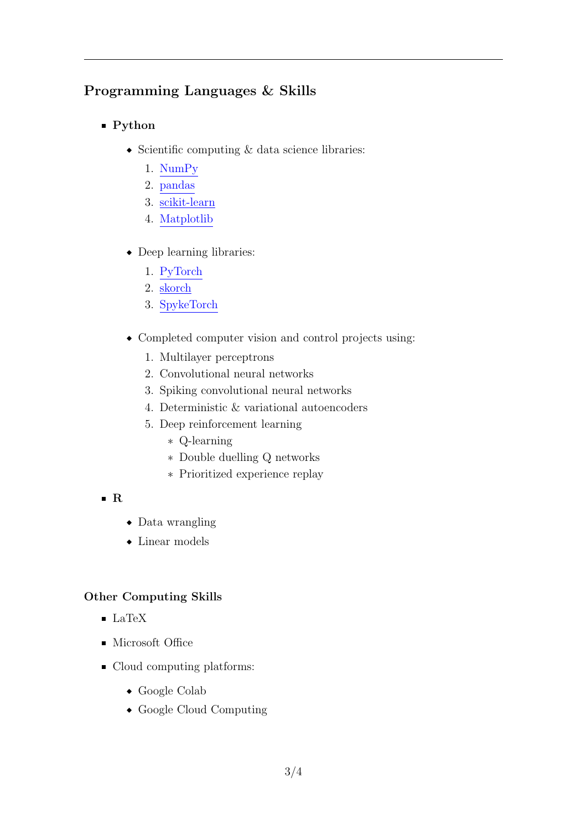# Programming Languages & Skills

- Python
	- $\bullet$  Scientific computing  $\&$  data science libraries:
		- 1. NumPy
		- 2. pandas
		- 3. scikit-learn
		- 4. Matplotlib
	- Deep learning libraries:
		- 1. PyTorch
		- 2. skorch
		- 3. SpykeTorch
	- Completed computer vision and control projects using:
		- 1. Multilayer perceptrons
		- 2. Convolutional neural networks
		- 3. Spiking convolutional neural networks
		- 4. Deterministic & variational autoencoders
		- 5. Deep reinforcement learning
			- \* Q-learning
			- \* Double duelling Q networks
			- \* Prioritized experience replay
- $\blacksquare$  R
- Data wrangling
- Linear models

#### Other Computing Skills

- LaTeX
- **Microsoft Office**
- Cloud computing platforms:
	- Google Colab
	- Google Cloud Computing